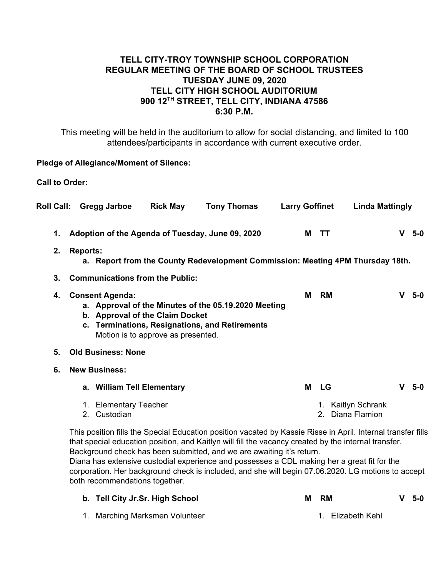## **TELL CITY-TROY TOWNSHIP SCHOOL CORPORATION REGULAR MEETING OF THE BOARD OF SCHOOL TRUSTEES TUESDAY JUNE 09, 2020 TELL CITY HIGH SCHOOL AUDITORIUM 900 12TH STREET, TELL CITY, INDIANA 47586 6:30 P.M.**

This meeting will be held in the auditorium to allow for social distancing, and limited to 100 attendees/participants in accordance with current executive order.

### **Pledge of Allegiance/Moment of Silence:**

**Call to Order:**

| <b>Roll Call:</b> |                                                                                                              | Gregg Jarboe                          | <b>Rick May</b>                                                       | <b>Tony Thomas</b>                                                                                     | <b>Larry Goffinet</b> |   |           | <b>Linda Mattingly</b>              |   |       |
|-------------------|--------------------------------------------------------------------------------------------------------------|---------------------------------------|-----------------------------------------------------------------------|--------------------------------------------------------------------------------------------------------|-----------------------|---|-----------|-------------------------------------|---|-------|
| 1.<br>2.          | <b>Reports:</b>                                                                                              |                                       |                                                                       | Adoption of the Agenda of Tuesday, June 09, 2020                                                       |                       | м | ΤT        |                                     | V | $5-0$ |
|                   | a. Report from the County Redevelopment Commission: Meeting 4PM Thursday 18th.                               |                                       |                                                                       |                                                                                                        |                       |   |           |                                     |   |       |
| 3.                |                                                                                                              |                                       | <b>Communications from the Public:</b>                                |                                                                                                        |                       |   |           |                                     |   |       |
| 4.                |                                                                                                              | <b>Consent Agenda:</b>                | b. Approval of the Claim Docket<br>Motion is to approve as presented. | a. Approval of the Minutes of the 05.19.2020 Meeting<br>c. Terminations, Resignations, and Retirements |                       | М | <b>RM</b> |                                     | v | -5-0  |
| 5.                |                                                                                                              | <b>Old Business: None</b>             |                                                                       |                                                                                                        |                       |   |           |                                     |   |       |
| 6.                | <b>New Business:</b>                                                                                         |                                       |                                                                       |                                                                                                        |                       |   |           |                                     |   |       |
|                   |                                                                                                              | a. William Tell Elementary            |                                                                       |                                                                                                        |                       | М | LG        |                                     | v | $5-0$ |
|                   |                                                                                                              | 1. Elementary Teacher<br>2. Custodian |                                                                       |                                                                                                        |                       |   |           | Kaitlyn Schrank<br>2. Diana Flamion |   |       |
|                   | This position fills the Special Education position vacated by Kassie Risse in April. Internal transfer fills |                                       |                                                                       |                                                                                                        |                       |   |           |                                     |   |       |

that special education position, and Kaitlyn will fill the vacancy created by the internal transfer. Background check has been submitted, and we are awaiting it's return. Diana has extensive custodial experience and possesses a CDL making her a great fit for the

corporation. Her background check is included, and she will begin 07.06.2020. LG motions to accept both recommendations together.

| b. Tell City Jr.Sr. High School | м | - RM              | $V$ 5-0 |
|---------------------------------|---|-------------------|---------|
| Marching Marksmen Volunteer     |   | 1. Elizabeth Kehl |         |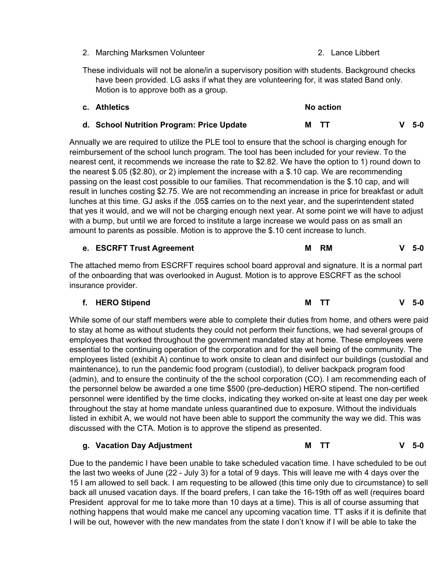- 2. Marching Marksmen Volunteer 2. Lance Libbert
- These individuals will not be alone/in a supervisory position with students. Background checks have been provided. LG asks if what they are volunteering for, it was stated Band only. Motion is to approve both as a group.

| c. Athletics                              | No action |  |         |  |  |  |
|-------------------------------------------|-----------|--|---------|--|--|--|
| d. School Nutrition Program: Price Update | M TT      |  | $V$ 5-0 |  |  |  |

Annually we are required to utilize the PLE tool to ensure that the school is charging enough for reimbursement of the school lunch program. The tool has been included for your review. To the nearest cent, it recommends we increase the rate to \$2.82. We have the option to 1) round down to the nearest \$.05 (\$2.80), or 2) implement the increase with a \$.10 cap. We are recommending passing on the least cost possible to our families. That recommendation is the \$.10 cap, and will result in lunches costing \$2.75. We are not recommending an increase in price for breakfast or adult lunches at this time. GJ asks if the .05\$ carries on to the next year, and the superintendent stated that yes it would, and we will not be charging enough next year. At some point we will have to adjust with a bump, but until we are forced to institute a large increase we would pass on as small an amount to parents as possible. Motion is to approve the \$.10 cent increase to lunch.

### **e. ESCRFT Trust Agreement M RM V 5-0**

The attached memo from ESCRFT requires school board approval and signature. It is a normal part of the onboarding that was overlooked in August. Motion is to approve ESCRFT as the school insurance provider.

## **f. HERO Stipend M TT V 5-0**

While some of our staff members were able to complete their duties from home, and others were paid to stay at home as without students they could not perform their functions, we had several groups of employees that worked throughout the government mandated stay at home. These employees were essential to the continuing operation of the corporation and for the well being of the community. The employees listed (exhibit A) continue to work onsite to clean and disinfect our buildings (custodial and maintenance), to run the pandemic food program (custodial), to deliver backpack program food (admin), and to ensure the continuity of the the school corporation (CO). I am recommending each of the personnel below be awarded a one time \$500 (pre-deduction) HERO stipend. The non-certified personnel were identified by the time clocks, indicating they worked on-site at least one day per week throughout the stay at home mandate unless quarantined due to exposure. Without the individuals listed in exhibit A, we would not have been able to support the community the way we did. This was discussed with the CTA. Motion is to approve the stipend as presented.

#### **g. Vacation Day Adjustment M TT V 5-0**

Due to the pandemic I have been unable to take scheduled vacation time. I have scheduled to be out the last two weeks of June (22 - July 3) for a total of 9 days. This will leave me with 4 days over the 15 I am allowed to sell back. I am requesting to be allowed (this time only due to circumstance) to sell back all unused vacation days. If the board prefers, I can take the 16-19th off as well (requires board President approval for me to take more than 10 days at a time). This is all of course assuming that nothing happens that would make me cancel any upcoming vacation time. TT asks if it is definite that I will be out, however with the new mandates from the state I don't know if I will be able to take the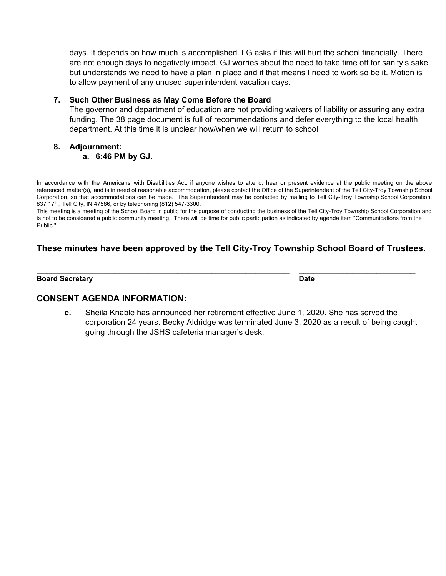days. It depends on how much is accomplished. LG asks if this will hurt the school financially. There are not enough days to negatively impact. GJ worries about the need to take time off for sanity's sake but understands we need to have a plan in place and if that means I need to work so be it. Motion is to allow payment of any unused superintendent vacation days.

### **7. Such Other Business as May Come Before the Board**

The governor and department of education are not providing waivers of liability or assuring any extra funding. The 38 page document is full of recommendations and defer everything to the local health department. At this time it is unclear how/when we will return to school

### **8. Adjournment:**

### **a. 6:46 PM by GJ.**

In accordance with the Americans with Disabilities Act, if anyone wishes to attend, hear or present evidence at the public meeting on the above referenced matter(s), and is in need of reasonable accommodation, please contact the Office of the Superintendent of the Tell City-Troy Township School Corporation, so that accommodations can be made. The Superintendent may be contacted by mailing to Tell City-Troy Township School Corporation, 837 17<sup>th</sup>., Tell City, IN 47586, or by telephoning (812) 547-3300.

This meeting is a meeting of the School Board in public for the purpose of conducting the business of the Tell City-Troy Township School Corporation and is not to be considered a public community meeting. There will be time for public participation as indicated by agenda item "Communications from the Public."

# **These minutes have been approved by the Tell City-Troy Township School Board of Trustees.**

**\_\_\_\_\_\_\_\_\_\_\_\_\_\_\_\_\_\_\_\_\_\_\_\_\_\_\_\_\_\_\_\_\_\_\_\_\_\_\_\_\_\_\_\_\_\_\_\_\_\_\_\_ \_\_\_\_\_\_\_\_\_\_\_\_\_\_\_\_\_\_\_\_\_\_\_\_**

#### **Board Secretary Date**

### **CONSENT AGENDA INFORMATION:**

**c.** Sheila Knable has announced her retirement effective June 1, 2020. She has served the corporation 24 years. Becky Aldridge was terminated June 3, 2020 as a result of being caught going through the JSHS cafeteria manager's desk.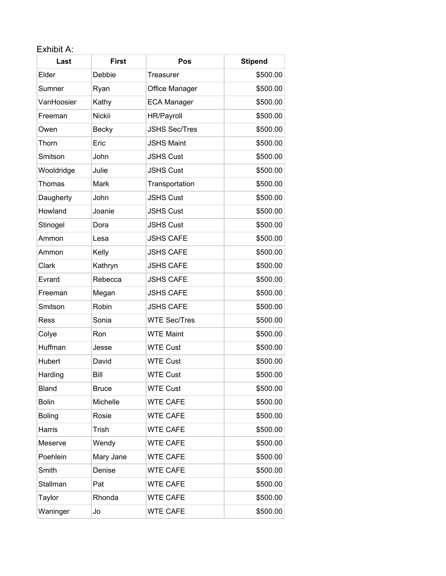# Exhibit A:

| Last          | <b>First</b>           | Pos                  | <b>Stipend</b> |
|---------------|------------------------|----------------------|----------------|
| Elder         | Debbie                 | Treasurer            | \$500.00       |
| Sumner        | Ryan<br>Office Manager |                      | \$500.00       |
| VanHoosier    | Kathy                  | <b>ECA Manager</b>   | \$500.00       |
| Freeman       | <b>Nickii</b>          | HR/Payroll           | \$500.00       |
| Owen          | <b>Becky</b>           | <b>JSHS Sec/Tres</b> | \$500.00       |
| Thorn         | Eric                   | <b>JSHS Maint</b>    | \$500.00       |
| Smitson       | John                   | <b>JSHS Cust</b>     | \$500.00       |
| Wooldridge    | Julie                  | <b>JSHS Cust</b>     | \$500.00       |
| Thomas        | Mark                   | Transportation       | \$500.00       |
| Daugherty     | John                   | <b>JSHS Cust</b>     | \$500.00       |
| Howland       | Joanie                 | <b>JSHS Cust</b>     | \$500.00       |
| Stinogel      | Dora                   | <b>JSHS Cust</b>     | \$500.00       |
| Ammon         | Lesa                   | <b>JSHS CAFE</b>     | \$500.00       |
| Ammon         | Kelly                  | <b>JSHS CAFE</b>     | \$500.00       |
| Clark         | Kathryn                | <b>JSHS CAFE</b>     | \$500.00       |
| Evrard        | Rebecca                | <b>JSHS CAFE</b>     | \$500.00       |
| Freeman       | Megan                  | <b>JSHS CAFE</b>     | \$500.00       |
| Smitson       | Robin                  | <b>JSHS CAFE</b>     | \$500.00       |
| Ress          | Sonia                  | <b>WTE Sec/Tres</b>  | \$500.00       |
| Colye         | Ron                    | <b>WTE Maint</b>     | \$500.00       |
| Huffman       | Jesse                  | <b>WTE Cust</b>      | \$500.00       |
| Hubert        | David                  | <b>WTE Cust</b>      | \$500.00       |
| Harding       | Bill                   | <b>WTE Cust</b>      | \$500.00       |
| <b>Bland</b>  | <b>Bruce</b>           | <b>WTE Cust</b>      | \$500.00       |
| <b>Bolin</b>  | Michelle               | <b>WTE CAFE</b>      | \$500.00       |
| <b>Boling</b> | Rosie                  | <b>WTE CAFE</b>      | \$500.00       |
| Harris        | Trish                  | <b>WTE CAFE</b>      | \$500.00       |
| Meserve       | Wendy                  | <b>WTE CAFE</b>      | \$500.00       |
| Poehlein      | Mary Jane              | <b>WTE CAFE</b>      | \$500.00       |
| Smith         | Denise                 | <b>WTE CAFE</b>      | \$500.00       |
| Stallman      | Pat                    | <b>WTE CAFE</b>      | \$500.00       |
| Taylor        | Rhonda                 | <b>WTE CAFE</b>      | \$500.00       |
| Waninger      | Jo                     | <b>WTE CAFE</b>      | \$500.00       |